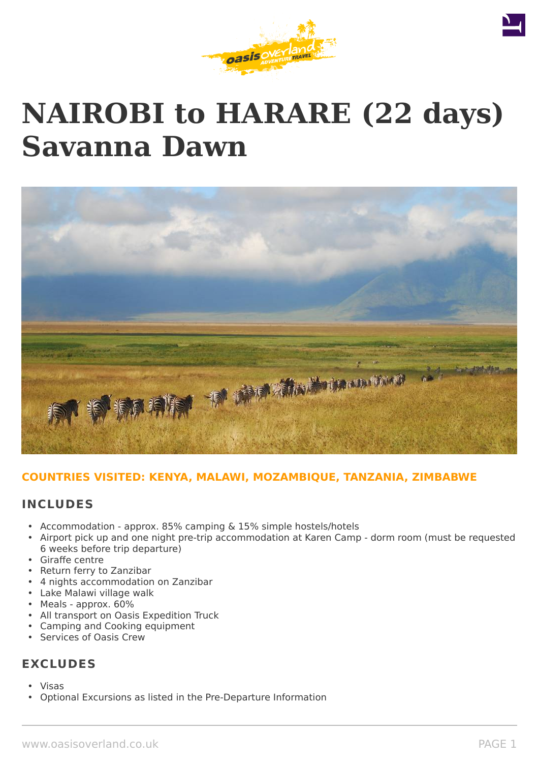





## **COUNTRIES VISITED: KENYA, MALAWI, MOZAMBIQUE, TANZANIA, ZIMBABWE**

### **INCLUDES**

- Accommodation approx. 85% camping & 15% simple hostels/hotels
- Airport pick up and one night pre-trip accommodation at Karen Camp dorm room (must be requested 6 weeks before trip departure)
- Giraffe centre
- Return ferry to Zanzibar
- 4 nights accommodation on Zanzibar
- Lake Malawi village walk
- Meals approx. 60%
- All transport on Oasis Expedition Truck
- Camping and Cooking equipment
- Services of Oasis Crew

# **EXCLUDES**

- Visas
- Optional Excursions as listed in the Pre-Departure Information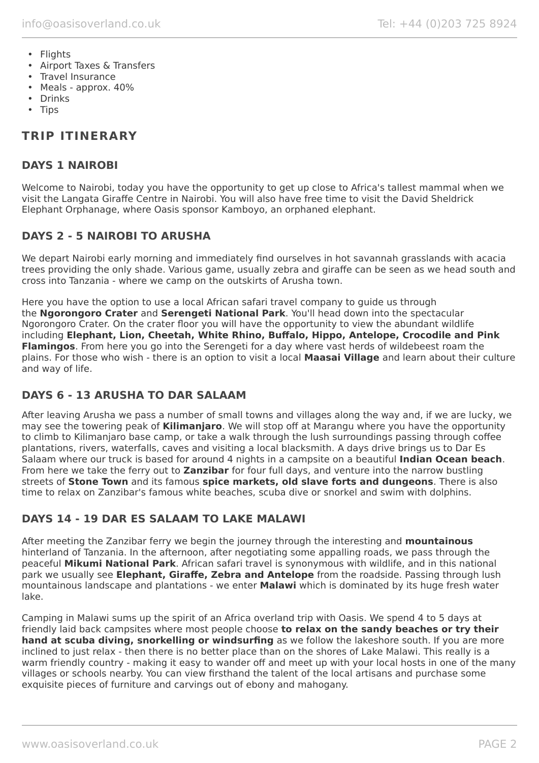- Flights
- Airport Taxes & Transfers
- Travel Insurance
- Meals approx. 40%
- Drinks
- Tips

# **TRIP ITINERARY**

## **DAYS 1 NAIROBI**

Welcome to Nairobi, today you have the opportunity to get up close to Africa's tallest mammal when we visit the Langata Giraffe Centre in Nairobi. You will also have free time to visit the David Sheldrick Elephant Orphanage, where Oasis sponsor Kamboyo, an orphaned elephant.

## **DAYS 2 - 5 NAIROBI TO ARUSHA**

We depart Nairobi early morning and immediately find ourselves in hot savannah grasslands with acacia trees providing the only shade. Various game, usually zebra and giraffe can be seen as we head south and cross into Tanzania - where we camp on the outskirts of Arusha town.

Here you have the option to use a local African safari travel company to guide us through the **Ngorongoro Crater** and **Serengeti National Park**. You'll head down into the spectacular Ngorongoro Crater. On the crater floor you will have the opportunity to view the abundant wildlife including **Elephant, Lion, Cheetah, White Rhino, Buffalo, Hippo, Antelope, Crocodile and Pink Flamingos**. From here you go into the Serengeti for a day where vast herds of wildebeest roam the plains. For those who wish - there is an option to visit a local **Maasai Village** and learn about their culture and way of life.

## **DAYS 6 - 13 ARUSHA TO DAR SALAAM**

After leaving Arusha we pass a number of small towns and villages along the way and, if we are lucky, we may see the towering peak of **Kilimanjaro**. We will stop off at Marangu where you have the opportunity to climb to Kilimanjaro base camp, or take a walk through the lush surroundings passing through coffee plantations, rivers, waterfalls, caves and visiting a local blacksmith. A days drive brings us to Dar Es Salaam where our truck is based for around 4 nights in a campsite on a beautiful **Indian Ocean beach**. From here we take the ferry out to **Zanzibar** for four full days, and venture into the narrow bustling streets of **Stone Town** and its famous **spice markets, old slave forts and dungeons**. There is also time to relax on Zanzibar's famous white beaches, scuba dive or snorkel and swim with dolphins.

## **DAYS 14 - 19 DAR ES SALAAM TO LAKE MALAWI**

After meeting the Zanzibar ferry we begin the journey through the interesting and **mountainous** hinterland of Tanzania. In the afternoon, after negotiating some appalling roads, we pass through the peaceful **Mikumi National Park**. African safari travel is synonymous with wildlife, and in this national park we usually see **Elephant, Giraffe, Zebra and Antelope** from the roadside. Passing through lush mountainous landscape and plantations - we enter **Malawi** which is dominated by its huge fresh water lake.

Camping in Malawi sums up the spirit of an Africa overland trip with Oasis. We spend 4 to 5 days at friendly laid back campsites where most people choose **to relax on the sandy beaches or try their hand at scuba diving, snorkelling or windsurfing** as we follow the lakeshore south. If you are more inclined to just relax - then there is no better place than on the shores of Lake Malawi. This really is a warm friendly country - making it easy to wander off and meet up with your local hosts in one of the many villages or schools nearby. You can view firsthand the talent of the local artisans and purchase some exquisite pieces of furniture and carvings out of ebony and mahogany.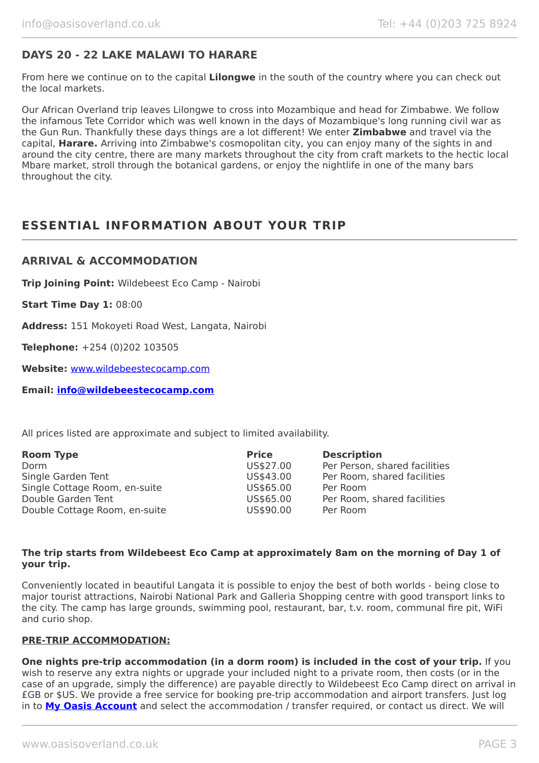## **DAYS 20 - 22 LAKE MALAWI TO HARARE**

From here we continue on to the capital **Lilongwe** in the south of the country where you can check out the local markets.

Our African Overland trip leaves Lilongwe to cross into Mozambique and head for Zimbabwe. We follow the infamous Tete Corridor which was well known in the days of Mozambique's long running civil war as the Gun Run. Thankfully these days things are a lot different! We enter **Zimbabwe** and travel via the capital, **Harare.** Arriving into Zimbabwe's cosmopolitan city, you can enjoy many of the sights in and around the city centre, there are many markets throughout the city from craft markets to the hectic local Mbare market, stroll through the botanical gardens, or enjoy the nightlife in one of the many bars throughout the city.

# **ESSENTIAL INFORMATION ABOUT YOUR TRIP**

#### **ARRIVAL & ACCOMMODATION**

**Trip Joining Point:** Wildebeest Eco Camp - Nairobi

**Start Time Day 1:** 08:00

**Address:** 151 Mokoyeti Road West, Langata, Nairobi

**Telephone:** +254 (0)202 103505

**Website:** [www.wildebeestecocamp.com](http://www.wildebeestecocamp.com/)

**Email: [info@wildebeestecocamp.com](mailto:info@wildebeestecocamp.com)**

All prices listed are approximate and subject to limited availability.

| <b>Price</b> | <b>Description</b>            |
|--------------|-------------------------------|
| US\$27.00    | Per Person, shared facilities |
| US\$43.00    | Per Room, shared facilities   |
| US\$65.00    | Per Room                      |
| US\$65.00    | Per Room, shared facilities   |
| US\$90.00    | Per Room                      |
|              |                               |

#### **The trip starts from Wildebeest Eco Camp at approximately 8am on the morning of Day 1 of your trip.**

Conveniently located in beautiful Langata it is possible to enjoy the best of both worlds - being close to major tourist attractions, Nairobi National Park and Galleria Shopping centre with good transport links to the city. The camp has large grounds, swimming pool, restaurant, bar, t.v. room, communal fire pit, WiFi and curio shop.

#### **PRE-TRIP ACCOMMODATION:**

**One nights pre-trip accommodation (in a dorm room) is included in the cost of your trip.** If you wish to reserve any extra nights or upgrade your included night to a private room, then costs (or in the case of an upgrade, simply the difference) are payable directly to Wildebeest Eco Camp direct on arrival in £GB or \$US. We provide a free service for booking pre-trip accommodation and airport transfers. Just log in to **[My Oasis Account](https://oasisportal.eecsoftware.com/login.php)** and select the accommodation / transfer required, or contact us direct. We will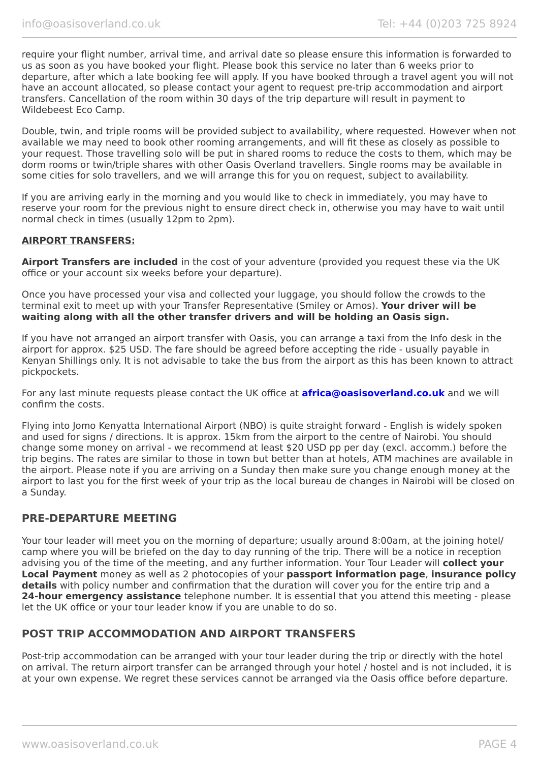require your flight number, arrival time, and arrival date so please ensure this information is forwarded to us as soon as you have booked your flight. Please book this service no later than 6 weeks prior to departure, after which a late booking fee will apply. If you have booked through a travel agent you will not have an account allocated, so please contact your agent to request pre-trip accommodation and airport transfers. Cancellation of the room within 30 days of the trip departure will result in payment to Wildebeest Eco Camp.

Double, twin, and triple rooms will be provided subject to availability, where requested. However when not available we may need to book other rooming arrangements, and will fit these as closely as possible to your request. Those travelling solo will be put in shared rooms to reduce the costs to them, which may be dorm rooms or twin/triple shares with other Oasis Overland travellers. Single rooms may be available in some cities for solo travellers, and we will arrange this for you on request, subject to availability.

If you are arriving early in the morning and you would like to check in immediately, you may have to reserve your room for the previous night to ensure direct check in, otherwise you may have to wait until normal check in times (usually 12pm to 2pm).

#### **AIRPORT TRANSFERS:**

**Airport Transfers are included** in the cost of your adventure (provided you request these via the UK office or your account six weeks before your departure).

Once you have processed your visa and collected your luggage, you should follow the crowds to the terminal exit to meet up with your Transfer Representative (Smiley or Amos). **Your driver will be waiting along with all the other transfer drivers and will be holding an Oasis sign.**

If you have not arranged an airport transfer with Oasis, you can arrange a taxi from the Info desk in the airport for approx. \$25 USD. The fare should be agreed before accepting the ride - usually payable in Kenyan Shillings only. It is not advisable to take the bus from the airport as this has been known to attract pickpockets.

For any last minute requests please contact the UK office at **[africa@oasisoverland.co.uk](mailto:africa@oasisoverland.co.uk)** and we will confirm the costs.

Flying into Jomo Kenyatta International Airport (NBO) is quite straight forward - English is widely spoken and used for signs / directions. It is approx. 15km from the airport to the centre of Nairobi. You should change some money on arrival - we recommend at least \$20 USD pp per day (excl. accomm.) before the trip begins. The rates are similar to those in town but better than at hotels, ATM machines are available in the airport. Please note if you are arriving on a Sunday then make sure you change enough money at the airport to last you for the first week of your trip as the local bureau de changes in Nairobi will be closed on a Sunday.

## **PRE-DEPARTURE MEETING**

Your tour leader will meet you on the morning of departure; usually around 8:00am, at the joining hotel/ camp where you will be briefed on the day to day running of the trip. There will be a notice in reception advising you of the time of the meeting, and any further information. Your Tour Leader will **collect your Local Payment** money as well as 2 photocopies of your **passport information page**, **insurance policy details** with policy number and confirmation that the duration will cover you for the entire trip and a **24-hour emergency assistance** telephone number. It is essential that you attend this meeting - please let the UK office or your tour leader know if you are unable to do so.

## **POST TRIP ACCOMMODATION AND AIRPORT TRANSFERS**

Post-trip accommodation can be arranged with your tour leader during the trip or directly with the hotel on arrival. The return airport transfer can be arranged through your hotel / hostel and is not included, it is at your own expense. We regret these services cannot be arranged via the Oasis office before departure.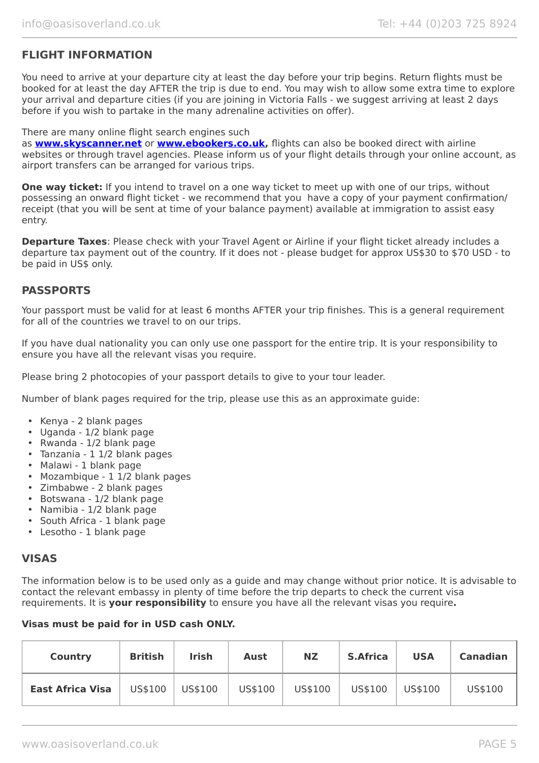## **FLIGHT INFORMATION**

You need to arrive at your departure city at least the day before your trip begins. Return flights must be booked for at least the day AFTER the trip is due to end. You may wish to allow some extra time to explore your arrival and departure cities (if you are joining in Victoria Falls - we suggest arriving at least 2 days before if you wish to partake in the many adrenaline activities on offer).

#### There are many online flight search engines such

as **[www.skyscanner.net](http://www.dpbolvw.net/click-5720161-10639348)** or **[www.ebookers.co.uk,](http://www.ebookers.co.uk/)** flights can also be booked direct with airline websites or through travel agencies. Please inform us of your flight details through your online account, as airport transfers can be arranged for various trips.

**One way ticket:** If you intend to travel on a one way ticket to meet up with one of our trips, without possessing an onward flight ticket - we recommend that you have a copy of your payment confirmation/ receipt (that you will be sent at time of your balance payment) available at immigration to assist easy entry.

**Departure Taxes**: Please check with your Travel Agent or Airline if your flight ticket already includes a departure tax payment out of the country. If it does not - please budget for approx US\$30 to \$70 USD - to be paid in US\$ only.

### **PASSPORTS**

Your passport must be valid for at least 6 months AFTER your trip finishes. This is a general requirement for all of the countries we travel to on our trips.

If you have dual nationality you can only use one passport for the entire trip. It is your responsibility to ensure you have all the relevant visas you require.

Please bring 2 photocopies of your passport details to give to your tour leader.

Number of blank pages required for the trip, please use this as an approximate guide:

- Kenya 2 blank pages
- Uganda 1/2 blank page
- Rwanda 1/2 blank page
- Tanzania 1 1/2 blank pages
- Malawi 1 blank page
- Mozambique 1 1/2 blank pages
- Zimbabwe 2 blank pages
- Botswana 1/2 blank page
- Namibia 1/2 blank page
- South Africa 1 blank page
- Lesotho 1 blank page

### **VISAS**

The information below is to be used only as a guide and may change without prior notice. It is advisable to contact the relevant embassy in plenty of time before the trip departs to check the current visa requirements. It is **your responsibility** to ensure you have all the relevant visas you require**.**

#### **Visas must be paid for in USD cash ONLY.**

| <b>Country</b>          | <b>British</b> | <b>Irish</b> | <b>Aust</b> | NZ.     | <b>S.Africa</b> | <b>USA</b> | <b>Canadian</b> |
|-------------------------|----------------|--------------|-------------|---------|-----------------|------------|-----------------|
| <b>East Africa Visa</b> | US\$100        | US\$100      | US\$100     | US\$100 | US\$100         | US\$100    | US\$100         |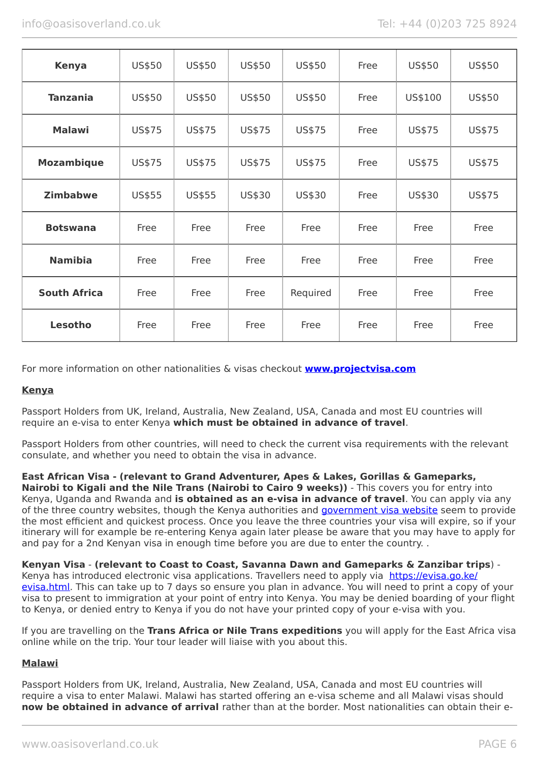| <b>Kenya</b>        | US\$50 | US\$50        | US\$50 | US\$50   | Free | US\$50  | US\$50 |
|---------------------|--------|---------------|--------|----------|------|---------|--------|
| <b>Tanzania</b>     | US\$50 | US\$50        | US\$50 | US\$50   | Free | US\$100 | US\$50 |
| <b>Malawi</b>       | US\$75 | US\$75        | US\$75 | US\$75   | Free | US\$75  | US\$75 |
| <b>Mozambique</b>   | US\$75 | US\$75        | US\$75 | US\$75   | Free | US\$75  | US\$75 |
| <b>Zimbabwe</b>     | US\$55 | <b>US\$55</b> | US\$30 | US\$30   | Free | US\$30  | US\$75 |
| <b>Botswana</b>     | Free   | Free          | Free   | Free     | Free | Free    | Free   |
| <b>Namibia</b>      | Free   | Free          | Free   | Free     | Free | Free    | Free   |
| <b>South Africa</b> | Free   | Free          | Free   | Required | Free | Free    | Free   |
| Lesotho             | Free   | Free          | Free   | Free     | Free | Free    | Free   |

For more information on other nationalities & visas checkout **[www.projectvisa.com](http://www.projectvisa.com/)**

#### **Kenya**

Passport Holders from UK, Ireland, Australia, New Zealand, USA, Canada and most EU countries will require an e-visa to enter Kenya **which must be obtained in advance of travel**.

Passport Holders from other countries, will need to check the current visa requirements with the relevant consulate, and whether you need to obtain the visa in advance.

**East African Visa - (relevant to Grand Adventurer, Apes & Lakes, Gorillas & Gameparks, Nairobi to Kigali and the Nile Trans (Nairobi to Cairo 9 weeks))** - This covers you for entry into Kenya, Uganda and Rwanda and **is obtained as an e-visa in advance of travel**. You can apply via any of the three country websites, though the Kenya authorities and [government visa website](https://evisa.go.ke/evisa.html) seem to provide the most efficient and quickest process. Once you leave the three countries your visa will expire, so if your itinerary will for example be re-entering Kenya again later please be aware that you may have to apply for and pay for a 2nd Kenyan visa in enough time before you are due to enter the country. .

#### **Kenyan Visa** - **(relevant to Coast to Coast, Savanna Dawn and Gameparks & Zanzibar trips**) -

Kenya has introduced electronic visa applications. Travellers need to apply via [https://evisa.go.ke/](https://evisa.go.ke/evisa.html) [evisa.html](https://evisa.go.ke/evisa.html). This can take up to 7 days so ensure you plan in advance. You will need to print a copy of your visa to present to immigration at your point of entry into Kenya. You may be denied boarding of your flight to Kenya, or denied entry to Kenya if you do not have your printed copy of your e-visa with you.

If you are travelling on the **Trans Africa or Nile Trans expeditions** you will apply for the East Africa visa online while on the trip. Your tour leader will liaise with you about this.

### **Malawi**

Passport Holders from UK, Ireland, Australia, New Zealand, USA, Canada and most EU countries will require a visa to enter Malawi. Malawi has started offering an e-visa scheme and all Malawi visas should **now be obtained in advance of arrival** rather than at the border. Most nationalities can obtain their e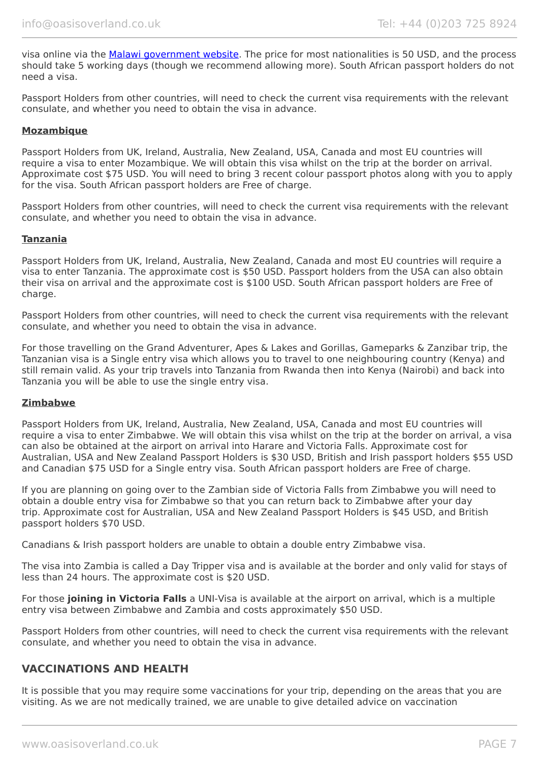visa online via the [Malawi government website.](https://www.evisa.gov.mw/) The price for most nationalities is 50 USD, and the process should take 5 working days (though we recommend allowing more). South African passport holders do not need a visa.

Passport Holders from other countries, will need to check the current visa requirements with the relevant consulate, and whether you need to obtain the visa in advance.

#### **Mozambique**

Passport Holders from UK, Ireland, Australia, New Zealand, USA, Canada and most EU countries will require a visa to enter Mozambique. We will obtain this visa whilst on the trip at the border on arrival. Approximate cost \$75 USD. You will need to bring 3 recent colour passport photos along with you to apply for the visa. South African passport holders are Free of charge.

Passport Holders from other countries, will need to check the current visa requirements with the relevant consulate, and whether you need to obtain the visa in advance.

#### **Tanzania**

Passport Holders from UK, Ireland, Australia, New Zealand, Canada and most EU countries will require a visa to enter Tanzania. The approximate cost is \$50 USD. Passport holders from the USA can also obtain their visa on arrival and the approximate cost is \$100 USD. South African passport holders are Free of charge.

Passport Holders from other countries, will need to check the current visa requirements with the relevant consulate, and whether you need to obtain the visa in advance.

For those travelling on the Grand Adventurer, Apes & Lakes and Gorillas, Gameparks & Zanzibar trip, the Tanzanian visa is a Single entry visa which allows you to travel to one neighbouring country (Kenya) and still remain valid. As your trip travels into Tanzania from Rwanda then into Kenya (Nairobi) and back into Tanzania you will be able to use the single entry visa.

#### **Zimbabwe**

Passport Holders from UK, Ireland, Australia, New Zealand, USA, Canada and most EU countries will require a visa to enter Zimbabwe. We will obtain this visa whilst on the trip at the border on arrival, a visa can also be obtained at the airport on arrival into Harare and Victoria Falls. Approximate cost for Australian, USA and New Zealand Passport Holders is \$30 USD, British and Irish passport holders \$55 USD and Canadian \$75 USD for a Single entry visa. South African passport holders are Free of charge.

If you are planning on going over to the Zambian side of Victoria Falls from Zimbabwe you will need to obtain a double entry visa for Zimbabwe so that you can return back to Zimbabwe after your day trip. Approximate cost for Australian, USA and New Zealand Passport Holders is \$45 USD, and British passport holders \$70 USD.

Canadians & Irish passport holders are unable to obtain a double entry Zimbabwe visa.

The visa into Zambia is called a Day Tripper visa and is available at the border and only valid for stays of less than 24 hours. The approximate cost is \$20 USD.

For those **joining in Victoria Falls** a UNI-Visa is available at the airport on arrival, which is a multiple entry visa between Zimbabwe and Zambia and costs approximately \$50 USD.

Passport Holders from other countries, will need to check the current visa requirements with the relevant consulate, and whether you need to obtain the visa in advance.

### **VACCINATIONS AND HEALTH**

It is possible that you may require some vaccinations for your trip, depending on the areas that you are visiting. As we are not medically trained, we are unable to give detailed advice on vaccination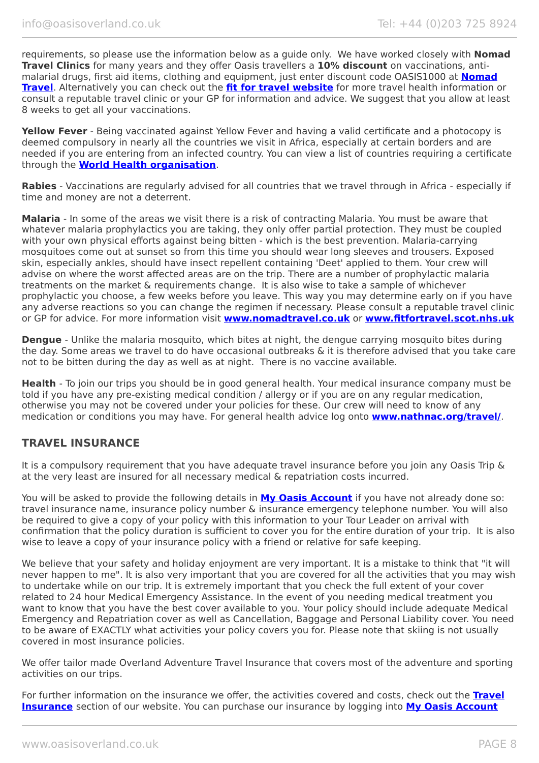requirements, so please use the information below as a guide only. We have worked closely with **Nomad Travel Clinics** for many years and they offer Oasis travellers a **10% discount** on vaccinations, antimalarial drugs, first aid items, clothing and equipment, just enter discount code OASIS1000 at **[Nomad](http://www.nomadtravel.co.uk/) [Travel](http://www.nomadtravel.co.uk/)**. Alternatively you can check out the **[fit for travel website](https://www.fitfortravel.nhs.uk/home)** for more travel health information or consult a reputable travel clinic or your GP for information and advice. We suggest that you allow at least 8 weeks to get all your vaccinations.

**Yellow Fever** - Being vaccinated against Yellow Fever and having a valid certificate and a photocopy is deemed compulsory in nearly all the countries we visit in Africa, especially at certain borders and are needed if you are entering from an infected country. You can view a list of countries requiring a certificate through the **[World Health organisation](http://www.who.int/ith/ITH_country_list.pdf)**.

**Rabies** - Vaccinations are regularly advised for all countries that we travel through in Africa - especially if time and money are not a deterrent.

**Malaria** - In some of the areas we visit there is a risk of contracting Malaria. You must be aware that whatever malaria prophylactics you are taking, they only offer partial protection. They must be coupled with your own physical efforts against being bitten - which is the best prevention. Malaria-carrying mosquitoes come out at sunset so from this time you should wear long sleeves and trousers. Exposed skin, especially ankles, should have insect repellent containing 'Deet' applied to them. Your crew will advise on where the worst affected areas are on the trip. There are a number of prophylactic malaria treatments on the market & requirements change. It is also wise to take a sample of whichever prophylactic you choose, a few weeks before you leave. This way you may determine early on if you have any adverse reactions so you can change the regimen if necessary. Please consult a reputable travel clinic or GP for advice. For more information visit **[www.nomadtravel.co.uk](http://www.nomadtravel.co.uk/)** or **[www.fitfortravel.scot.nhs.uk](http://www.fitfortravel.scot.nhs.uk/)**

**Dengue** - Unlike the malaria mosquito, which bites at night, the dengue carrying mosquito bites during the day. Some areas we travel to do have occasional outbreaks & it is therefore advised that you take care not to be bitten during the day as well as at night. There is no vaccine available.

**Health** - To join our trips you should be in good general health. Your medical insurance company must be told if you have any pre-existing medical condition / allergy or if you are on any regular medication, otherwise you may not be covered under your policies for these. Our crew will need to know of any medication or conditions you may have. For general health advice log onto **[www.nathnac.org/travel/](http://www.nathnac.org/travel/)**.

## **TRAVEL INSURANCE**

It is a compulsory requirement that you have adequate travel insurance before you join any Oasis Trip & at the very least are insured for all necessary medical & repatriation costs incurred.

You will be asked to provide the following details in **My [Oasis Account](https://oasisportal.eecsoftware.com/)** if you have not already done so: travel insurance name, insurance policy number & insurance emergency telephone number. You will also be required to give a copy of your policy with this information to your Tour Leader on arrival with confirmation that the policy duration is sufficient to cover you for the entire duration of your trip. It is also wise to leave a copy of your insurance policy with a friend or relative for safe keeping.

We believe that your safety and holiday enjoyment are very important. It is a mistake to think that "it will never happen to me". It is also very important that you are covered for all the activities that you may wish to undertake while on our trip. It is extremely important that you check the full extent of your cover related to 24 hour Medical Emergency Assistance. In the event of you needing medical treatment you want to know that you have the best cover available to you. Your policy should include adequate Medical Emergency and Repatriation cover as well as Cancellation, Baggage and Personal Liability cover. You need to be aware of EXACTLY what activities your policy covers you for. Please note that skiing is not usually covered in most insurance policies.

We offer tailor made Overland Adventure Travel Insurance that covers most of the adventure and sporting activities on our trips.

For further information on the insurance we offer, the activities covered and costs, check out the **[Travel](https://www.oasisoverland.co.uk/travel-insurance) [Insurance](https://www.oasisoverland.co.uk/travel-insurance)** section of our website. You can purchase our insurance by logging into **[My Oasis Account](https://oasisportal.eecsoftware.com/)**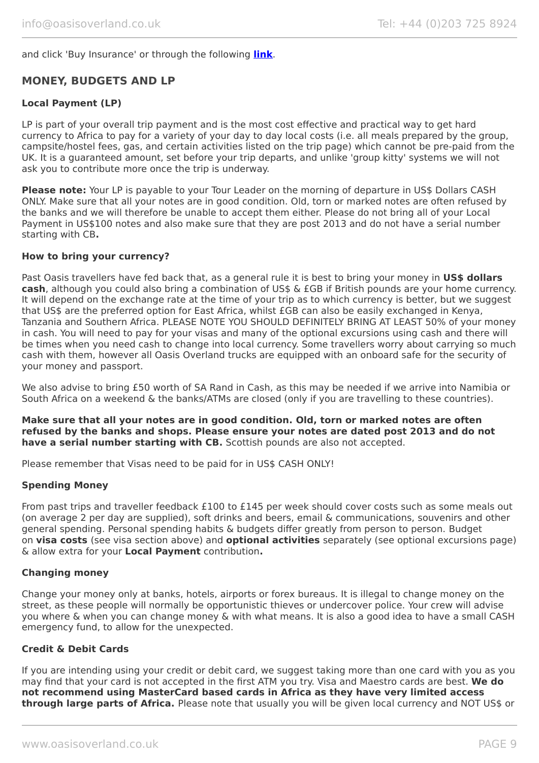and click 'Buy Insurance' or through the following **[link](https://www.campbellirvinedirect.com/oasisoverland/)**.

## **MONEY, BUDGETS AND LP**

#### **Local Payment (LP)**

LP is part of your overall trip payment and is the most cost effective and practical way to get hard currency to Africa to pay for a variety of your day to day local costs (i.e. all meals prepared by the group, campsite/hostel fees, gas, and certain activities listed on the trip page) which cannot be pre-paid from the UK. It is a guaranteed amount, set before your trip departs, and unlike 'group kitty' systems we will not ask you to contribute more once the trip is underway.

**Please note:** Your LP is payable to your Tour Leader on the morning of departure in US\$ Dollars CASH ONLY. Make sure that all your notes are in good condition. Old, torn or marked notes are often refused by the banks and we will therefore be unable to accept them either. Please do not bring all of your Local Payment in US\$100 notes and also make sure that they are post 2013 and do not have a serial number starting with CB**.**

#### **How to bring your currency?**

Past Oasis travellers have fed back that, as a general rule it is best to bring your money in **US\$ dollars cash**, although you could also bring a combination of US\$ & £GB if British pounds are your home currency. It will depend on the exchange rate at the time of your trip as to which currency is better, but we suggest that US\$ are the preferred option for East Africa, whilst £GB can also be easily exchanged in Kenya, Tanzania and Southern Africa. PLEASE NOTE YOU SHOULD DEFINITELY BRING AT LEAST 50% of your money in cash. You will need to pay for your visas and many of the optional excursions using cash and there will be times when you need cash to change into local currency. Some travellers worry about carrying so much cash with them, however all Oasis Overland trucks are equipped with an onboard safe for the security of your money and passport.

We also advise to bring £50 worth of SA Rand in Cash, as this may be needed if we arrive into Namibia or South Africa on a weekend & the banks/ATMs are closed (only if you are travelling to these countries).

**Make sure that all your notes are in good condition. Old, torn or marked notes are often refused by the banks and shops. Please ensure your notes are dated post 2013 and do not have a serial number starting with CB.** Scottish pounds are also not accepted.

Please remember that Visas need to be paid for in US\$ CASH ONLY!

#### **Spending Money**

From past trips and traveller feedback £100 to £145 per week should cover costs such as some meals out (on average 2 per day are supplied), soft drinks and beers, email & communications, souvenirs and other general spending. Personal spending habits & budgets differ greatly from person to person. Budget on **visa costs** (see visa section above) and **optional activities** separately (see optional excursions page) & allow extra for your **Local Payment** contribution**.**

#### **Changing money**

Change your money only at banks, hotels, airports or forex bureaus. It is illegal to change money on the street, as these people will normally be opportunistic thieves or undercover police. Your crew will advise you where & when you can change money & with what means. It is also a good idea to have a small CASH emergency fund, to allow for the unexpected.

#### **Credit & Debit Cards**

If you are intending using your credit or debit card, we suggest taking more than one card with you as you may find that your card is not accepted in the first ATM you try. Visa and Maestro cards are best. **We do not recommend using MasterCard based cards in Africa as they have very limited access through large parts of Africa.** Please note that usually you will be given local currency and NOT US\$ or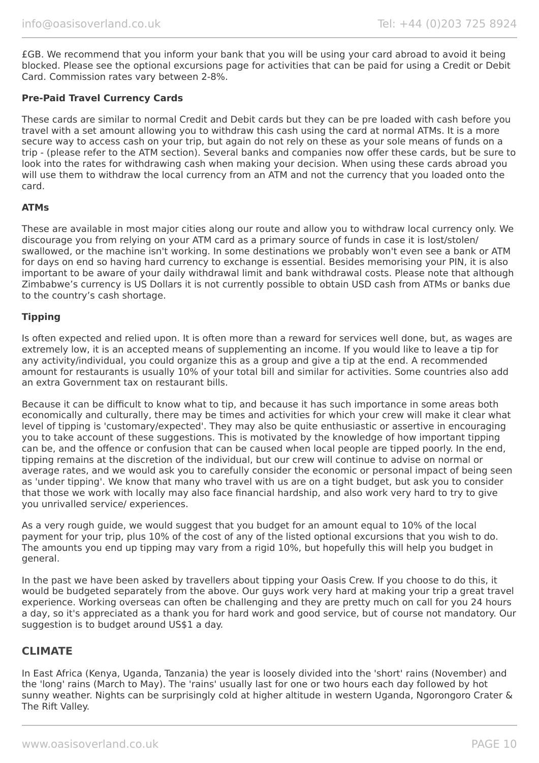£GB. We recommend that you inform your bank that you will be using your card abroad to avoid it being blocked. Please see the optional excursions page for activities that can be paid for using a Credit or Debit Card. Commission rates vary between 2-8%.

#### **Pre-Paid Travel Currency Cards**

These cards are similar to normal Credit and Debit cards but they can be pre loaded with cash before you travel with a set amount allowing you to withdraw this cash using the card at normal ATMs. It is a more secure way to access cash on your trip, but again do not rely on these as your sole means of funds on a trip - (please refer to the ATM section). Several banks and companies now offer these cards, but be sure to look into the rates for withdrawing cash when making your decision. When using these cards abroad you will use them to withdraw the local currency from an ATM and not the currency that you loaded onto the card.

#### **ATMs**

These are available in most major cities along our route and allow you to withdraw local currency only. We discourage you from relying on your ATM card as a primary source of funds in case it is lost/stolen/ swallowed, or the machine isn't working. In some destinations we probably won't even see a bank or ATM for days on end so having hard currency to exchange is essential. Besides memorising your PIN, it is also important to be aware of your daily withdrawal limit and bank withdrawal costs. Please note that although Zimbabwe's currency is US Dollars it is not currently possible to obtain USD cash from ATMs or banks due to the country's cash shortage.

#### **Tipping**

Is often expected and relied upon. It is often more than a reward for services well done, but, as wages are extremely low, it is an accepted means of supplementing an income. If you would like to leave a tip for any activity/individual, you could organize this as a group and give a tip at the end. A recommended amount for restaurants is usually 10% of your total bill and similar for activities. Some countries also add an extra Government tax on restaurant bills.

Because it can be difficult to know what to tip, and because it has such importance in some areas both economically and culturally, there may be times and activities for which your crew will make it clear what level of tipping is 'customary/expected'. They may also be quite enthusiastic or assertive in encouraging you to take account of these suggestions. This is motivated by the knowledge of how important tipping can be, and the offence or confusion that can be caused when local people are tipped poorly. In the end, tipping remains at the discretion of the individual, but our crew will continue to advise on normal or average rates, and we would ask you to carefully consider the economic or personal impact of being seen as 'under tipping'. We know that many who travel with us are on a tight budget, but ask you to consider that those we work with locally may also face financial hardship, and also work very hard to try to give you unrivalled service/ experiences.

As a very rough guide, we would suggest that you budget for an amount equal to 10% of the local payment for your trip, plus 10% of the cost of any of the listed optional excursions that you wish to do. The amounts you end up tipping may vary from a rigid 10%, but hopefully this will help you budget in general.

In the past we have been asked by travellers about tipping your Oasis Crew. If you choose to do this, it would be budgeted separately from the above. Our guys work very hard at making your trip a great travel experience. Working overseas can often be challenging and they are pretty much on call for you 24 hours a day, so it's appreciated as a thank you for hard work and good service, but of course not mandatory. Our suggestion is to budget around US\$1 a day.

### **CLIMATE**

In East Africa (Kenya, Uganda, Tanzania) the year is loosely divided into the 'short' rains (November) and the 'long' rains (March to May). The 'rains' usually last for one or two hours each day followed by hot sunny weather. Nights can be surprisingly cold at higher altitude in western Uganda, Ngorongoro Crater & The Rift Valley.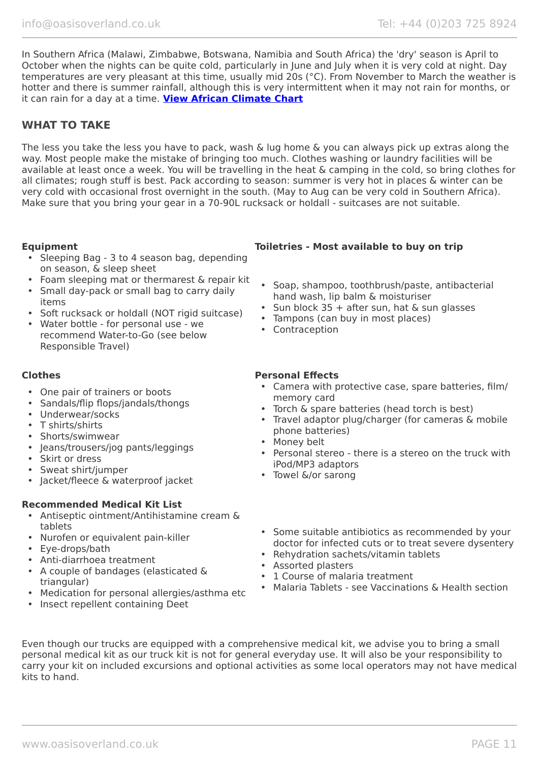In Southern Africa (Malawi, Zimbabwe, Botswana, Namibia and South Africa) the 'dry' season is April to October when the nights can be quite cold, particularly in June and July when it is very cold at night. Day temperatures are very pleasant at this time, usually mid 20s (°C). From November to March the weather is hotter and there is summer rainfall, although this is very intermittent when it may not rain for months, or it can rain for a day at a time. **[View African Climate Chart](https://www.oasisoverland.co.uk/africa-climate-chart)**

## **WHAT TO TAKE**

The less you take the less you have to pack, wash & lug home & you can always pick up extras along the way. Most people make the mistake of bringing too much. Clothes washing or laundry facilities will be available at least once a week. You will be travelling in the heat & camping in the cold, so bring clothes for all climates; rough stuff is best. Pack according to season: summer is very hot in places & winter can be very cold with occasional frost overnight in the south. (May to Aug can be very cold in Southern Africa). Make sure that you bring your gear in a 70-90L rucksack or holdall - suitcases are not suitable.

- Sleeping Bag 3 to 4 season bag, depending on season, & sleep sheet
- Foam sleeping mat or thermarest & repair kit
- Small day-pack or small bag to carry daily items
- Soft rucksack or holdall (NOT rigid suitcase)
- Water bottle for personal use we recommend Water-to-Go (see below Responsible Travel)

- One pair of trainers or boots
- Sandals/flip flops/jandals/thongs
- Underwear/socks
- T shirts/shirts
- Shorts/swimwear
- Jeans/trousers/jog pants/leggings
- Skirt or dress
- Sweat shirt/jumper
- Jacket/fleece & waterproof jacket

### **Recommended Medical Kit List**

- Antiseptic ointment/Antihistamine cream & tablets
- Nurofen or equivalent pain-killer
- Eye-drops/bath
- Anti-diarrhoea treatment
- A couple of bandages (elasticated & triangular)
- Medication for personal allergies/asthma etc
- Insect repellent containing Deet

### **Equipment Toiletries - Most available to buy on trip**

- Soap, shampoo, toothbrush/paste, antibacterial hand wash, lip balm & moisturiser
- Sun block 35 + after sun, hat & sun glasses
- Tampons (can buy in most places)
- Contraception

#### **Clothes Personal Effects**

- Camera with protective case, spare batteries, film/ memory card
- Torch & spare batteries (head torch is best)
- Travel adaptor plug/charger (for cameras & mobile phone batteries)
- Money belt
- Personal stereo there is a stereo on the truck with iPod/MP3 adaptors
- Towel &/or sarong
- Some suitable antibiotics as recommended by your doctor for infected cuts or to treat severe dysentery
- Rehydration sachets/vitamin tablets
- Assorted plasters
- 1 Course of malaria treatment
- Malaria Tablets see Vaccinations & Health section

Even though our trucks are equipped with a comprehensive medical kit, we advise you to bring a small personal medical kit as our truck kit is not for general everyday use. It will also be your responsibility to carry your kit on included excursions and optional activities as some local operators may not have medical kits to hand.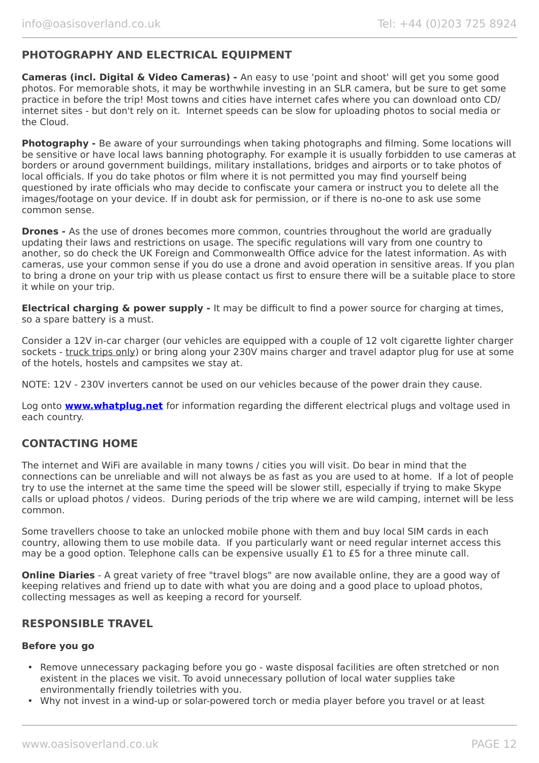## **PHOTOGRAPHY AND ELECTRICAL EQUIPMENT**

**Cameras (incl. Digital & Video Cameras) -** An easy to use 'point and shoot' will get you some good photos. For memorable shots, it may be worthwhile investing in an SLR camera, but be sure to get some practice in before the trip! Most towns and cities have internet cafes where you can download onto CD/ internet sites - but don't rely on it. Internet speeds can be slow for uploading photos to social media or the Cloud.

**Photography -** Be aware of your surroundings when taking photographs and filming. Some locations will be sensitive or have local laws banning photography. For example it is usually forbidden to use cameras at borders or around government buildings, military installations, bridges and airports or to take photos of local officials. If you do take photos or film where it is not permitted you may find yourself being questioned by irate officials who may decide to confiscate your camera or instruct you to delete all the images/footage on your device. If in doubt ask for permission, or if there is no-one to ask use some common sense.

**Drones -** As the use of drones becomes more common, countries throughout the world are gradually updating their laws and restrictions on usage. The specific regulations will vary from one country to another, so do check the UK Foreign and Commonwealth Office advice for the latest information. As with cameras, use your common sense if you do use a drone and avoid operation in sensitive areas. If you plan to bring a drone on your trip with us please contact us first to ensure there will be a suitable place to store it while on your trip.

**Electrical charging & power supply -** It may be difficult to find a power source for charging at times, so a spare battery is a must.

Consider a 12V in-car charger (our vehicles are equipped with a couple of 12 volt cigarette lighter charger sockets - truck trips only) or bring along your 230V mains charger and travel adaptor plug for use at some of the hotels, hostels and campsites we stay at.

NOTE: 12V - 230V inverters cannot be used on our vehicles because of the power drain they cause.

Log onto **[www.whatplug.net](http://www.whatplug.net/)** for information regarding the different electrical plugs and voltage used in each country.

## **CONTACTING HOME**

The internet and WiFi are available in many towns / cities you will visit. Do bear in mind that the connections can be unreliable and will not always be as fast as you are used to at home. If a lot of people try to use the internet at the same time the speed will be slower still, especially if trying to make Skype calls or upload photos / videos. During periods of the trip where we are wild camping, internet will be less common.

Some travellers choose to take an unlocked mobile phone with them and buy local SIM cards in each country, allowing them to use mobile data. If you particularly want or need regular internet access this may be a good option. Telephone calls can be expensive usually £1 to £5 for a three minute call.

**Online Diaries** - A great variety of free "travel blogs" are now available online, they are a good way of keeping relatives and friend up to date with what you are doing and a good place to upload photos, collecting messages as well as keeping a record for yourself.

### **RESPONSIBLE TRAVEL**

#### **Before you go**

- Remove unnecessary packaging before you go waste disposal facilities are often stretched or non existent in the places we visit. To avoid unnecessary pollution of local water supplies take environmentally friendly toiletries with you.
- Why not invest in a wind-up or solar-powered torch or media player before you travel or at least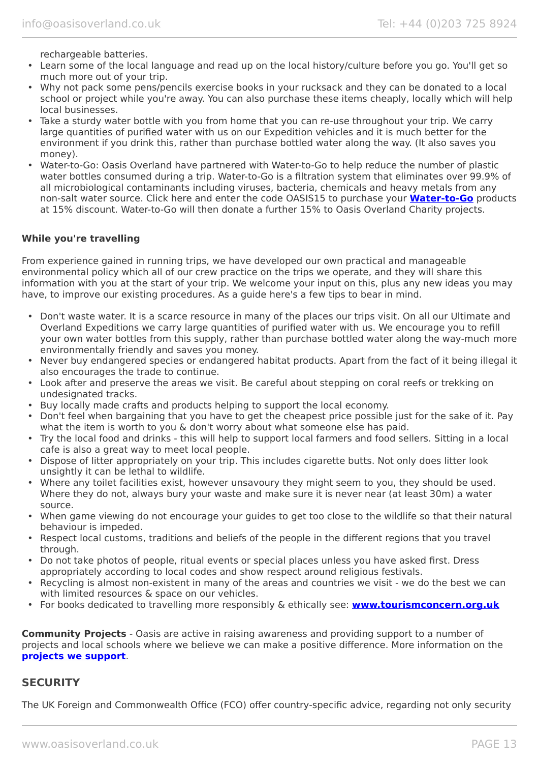rechargeable batteries.

- Learn some of the local language and read up on the local history/culture before you go. You'll get so much more out of your trip.
- Why not pack some pens/pencils exercise books in your rucksack and they can be donated to a local school or project while you're away. You can also purchase these items cheaply, locally which will help local businesses.
- Take a sturdy water bottle with you from home that you can re-use throughout your trip. We carry large quantities of purified water with us on our Expedition vehicles and it is much better for the environment if you drink this, rather than purchase bottled water along the way. (It also saves you money).
- Water-to-Go: Oasis Overland have partnered with Water-to-Go to help reduce the number of plastic water bottles consumed during a trip. Water-to-Go is a filtration system that eliminates over 99.9% of all microbiological contaminants including viruses, bacteria, chemicals and heavy metals from any non-salt water source. Click here and enter the code OASIS15 to purchase your **[Water-to-Go](https://watertogo.eu/partnerships/oasisoverland/)** products at 15% discount. Water-to-Go will then donate a further 15% to Oasis Overland Charity projects.

#### **While you're travelling**

From experience gained in running trips, we have developed our own practical and manageable environmental policy which all of our crew practice on the trips we operate, and they will share this information with you at the start of your trip. We welcome your input on this, plus any new ideas you may have, to improve our existing procedures. As a guide here's a few tips to bear in mind.

- Don't waste water. It is a scarce resource in many of the places our trips visit. On all our Ultimate and Overland Expeditions we carry large quantities of purified water with us. We encourage you to refill your own water bottles from this supply, rather than purchase bottled water along the way-much more environmentally friendly and saves you money.
- Never buy endangered species or endangered habitat products. Apart from the fact of it being illegal it also encourages the trade to continue.
- Look after and preserve the areas we visit. Be careful about stepping on coral reefs or trekking on undesignated tracks.
- Buy locally made crafts and products helping to support the local economy.
- Don't feel when bargaining that you have to get the cheapest price possible just for the sake of it. Pay what the item is worth to you & don't worry about what someone else has paid.
- Try the local food and drinks this will help to support local farmers and food sellers. Sitting in a local cafe is also a great way to meet local people.
- Dispose of litter appropriately on your trip. This includes cigarette butts. Not only does litter look unsightly it can be lethal to wildlife.
- Where any toilet facilities exist, however unsavoury they might seem to you, they should be used. Where they do not, always bury your waste and make sure it is never near (at least 30m) a water source.
- When game viewing do not encourage your guides to get too close to the wildlife so that their natural behaviour is impeded.
- Respect local customs, traditions and beliefs of the people in the different regions that you travel through.
- Do not take photos of people, ritual events or special places unless you have asked first. Dress appropriately according to local codes and show respect around religious festivals.
- Recycling is almost non-existent in many of the areas and countries we visit we do the best we can with limited resources & space on our vehicles.
- For books dedicated to travelling more responsibly & ethically see: **[www.tourismconcern.org.uk](https://www.tourismconcern.org.uk/)**

**Community Projects** - Oasis are active in raising awareness and providing support to a number of projects and local schools where we believe we can make a positive difference. More information on the **[projects we support](https://www.oasisoverland.co.uk/responsible-travel/charities-we-support)**.

### **SECURITY**

The UK Foreign and Commonwealth Office (FCO) offer country-specific advice, regarding not only security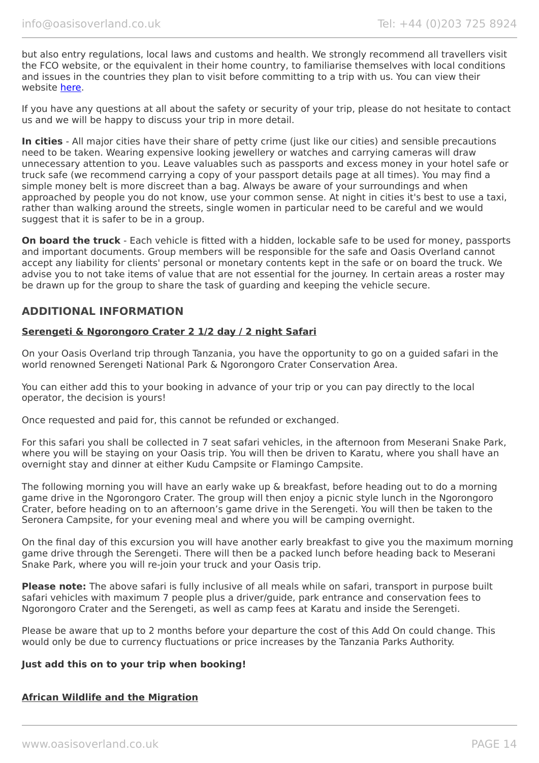but also entry regulations, local laws and customs and health. We strongly recommend all travellers visit the FCO website, or the equivalent in their home country, to familiarise themselves with local conditions and issues in the countries they plan to visit before committing to a trip with us. You can view their website [here.](https://www.gov.uk/foreign-travel-advice)

If you have any questions at all about the safety or security of your trip, please do not hesitate to contact us and we will be happy to discuss your trip in more detail.

**In cities** - All major cities have their share of petty crime (just like our cities) and sensible precautions need to be taken. Wearing expensive looking jewellery or watches and carrying cameras will draw unnecessary attention to you. Leave valuables such as passports and excess money in your hotel safe or truck safe (we recommend carrying a copy of your passport details page at all times). You may find a simple money belt is more discreet than a bag. Always be aware of your surroundings and when approached by people you do not know, use your common sense. At night in cities it's best to use a taxi, rather than walking around the streets, single women in particular need to be careful and we would suggest that it is safer to be in a group.

**On board the truck** - Each vehicle is fitted with a hidden, lockable safe to be used for money, passports and important documents. Group members will be responsible for the safe and Oasis Overland cannot accept any liability for clients' personal or monetary contents kept in the safe or on board the truck. We advise you to not take items of value that are not essential for the journey. In certain areas a roster may be drawn up for the group to share the task of guarding and keeping the vehicle secure.

## **ADDITIONAL INFORMATION**

#### **Serengeti & Ngorongoro Crater 2 1/2 day / 2 night Safari**

On your Oasis Overland trip through Tanzania, you have the opportunity to go on a guided safari in the world renowned Serengeti National Park & Ngorongoro Crater Conservation Area.

You can either add this to your booking in advance of your trip or you can pay directly to the local operator, the decision is yours!

Once requested and paid for, this cannot be refunded or exchanged.

For this safari you shall be collected in 7 seat safari vehicles, in the afternoon from Meserani Snake Park, where you will be staying on your Oasis trip. You will then be driven to Karatu, where you shall have an overnight stay and dinner at either Kudu Campsite or Flamingo Campsite.

The following morning you will have an early wake up & breakfast, before heading out to do a morning game drive in the Ngorongoro Crater. The group will then enjoy a picnic style lunch in the Ngorongoro Crater, before heading on to an afternoon's game drive in the Serengeti. You will then be taken to the Seronera Campsite, for your evening meal and where you will be camping overnight.

On the final day of this excursion you will have another early breakfast to give you the maximum morning game drive through the Serengeti. There will then be a packed lunch before heading back to Meserani Snake Park, where you will re-join your truck and your Oasis trip.

**Please note:** The above safari is fully inclusive of all meals while on safari, transport in purpose built safari vehicles with maximum 7 people plus a driver/guide, park entrance and conservation fees to Ngorongoro Crater and the Serengeti, as well as camp fees at Karatu and inside the Serengeti.

Please be aware that up to 2 months before your departure the cost of this Add On could change. This would only be due to currency fluctuations or price increases by the Tanzania Parks Authority.

#### **Just add this on to your trip when booking!**

#### **African Wildlife and the Migration**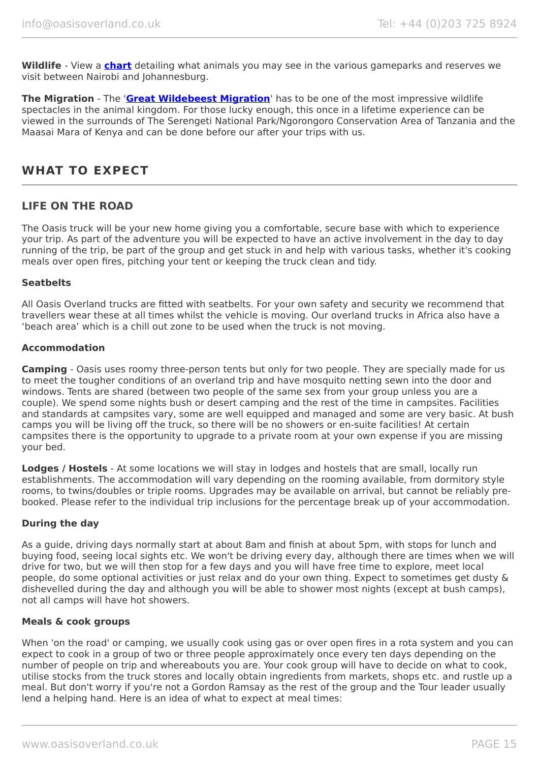**Wildlife** - View a **[chart](https://www.oasisoverland.co.uk/african-wildlife-chart)** detailing what animals you may see in the various gameparks and reserves we visit between Nairobi and Johannesburg.

**The Migration** - The '**[Great Wildebeest Migration](https://www.oasisoverland.co.uk/the-great-wildebeest-migration)**' has to be one of the most impressive wildlife spectacles in the animal kingdom. For those lucky enough, this once in a lifetime experience can be viewed in the surrounds of The Serengeti National Park/Ngorongoro Conservation Area of Tanzania and the Maasai Mara of Kenya and can be done before our after your trips with us.

# **WHAT TO EXPECT**

## **LIFE ON THE ROAD**

The Oasis truck will be your new home giving you a comfortable, secure base with which to experience your trip. As part of the adventure you will be expected to have an active involvement in the day to day running of the trip, be part of the group and get stuck in and help with various tasks, whether it's cooking meals over open fires, pitching your tent or keeping the truck clean and tidy.

#### **Seatbelts**

All Oasis Overland trucks are fitted with seatbelts. For your own safety and security we recommend that travellers wear these at all times whilst the vehicle is moving. Our overland trucks in Africa also have a 'beach area' which is a chill out zone to be used when the truck is not moving.

#### **Accommodation**

**Camping** - Oasis uses roomy three-person tents but only for two people. They are specially made for us to meet the tougher conditions of an overland trip and have mosquito netting sewn into the door and windows. Tents are shared (between two people of the same sex from your group unless you are a couple). We spend some nights bush or desert camping and the rest of the time in campsites. Facilities and standards at campsites vary, some are well equipped and managed and some are very basic. At bush camps you will be living off the truck, so there will be no showers or en-suite facilities! At certain campsites there is the opportunity to upgrade to a private room at your own expense if you are missing your bed.

**Lodges / Hostels** - At some locations we will stay in lodges and hostels that are small, locally run establishments. The accommodation will vary depending on the rooming available, from dormitory style rooms, to twins/doubles or triple rooms. Upgrades may be available on arrival, but cannot be reliably prebooked. Please refer to the individual trip inclusions for the percentage break up of your accommodation.

#### **During the day**

As a guide, driving days normally start at about 8am and finish at about 5pm, with stops for lunch and buying food, seeing local sights etc. We won't be driving every day, although there are times when we will drive for two, but we will then stop for a few days and you will have free time to explore, meet local people, do some optional activities or just relax and do your own thing. Expect to sometimes get dusty & dishevelled during the day and although you will be able to shower most nights (except at bush camps), not all camps will have hot showers.

#### **Meals & cook groups**

When 'on the road' or camping, we usually cook using gas or over open fires in a rota system and you can expect to cook in a group of two or three people approximately once every ten days depending on the number of people on trip and whereabouts you are. Your cook group will have to decide on what to cook, utilise stocks from the truck stores and locally obtain ingredients from markets, shops etc. and rustle up a meal. But don't worry if you're not a Gordon Ramsay as the rest of the group and the Tour leader usually lend a helping hand. Here is an idea of what to expect at meal times: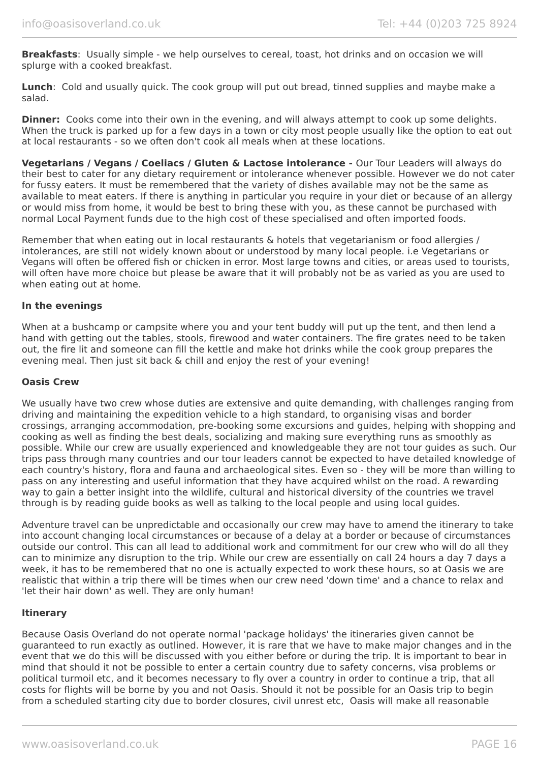**Breakfasts**: Usually simple - we help ourselves to cereal, toast, hot drinks and on occasion we will splurge with a cooked breakfast.

**Lunch**: Cold and usually quick. The cook group will put out bread, tinned supplies and maybe make a salad.

**Dinner:** Cooks come into their own in the evening, and will always attempt to cook up some delights. When the truck is parked up for a few days in a town or city most people usually like the option to eat out at local restaurants - so we often don't cook all meals when at these locations.

**Vegetarians / Vegans / Coeliacs / Gluten & Lactose intolerance -** Our Tour Leaders will always do their best to cater for any dietary requirement or intolerance whenever possible. However we do not cater for fussy eaters. It must be remembered that the variety of dishes available may not be the same as available to meat eaters. If there is anything in particular you require in your diet or because of an allergy or would miss from home, it would be best to bring these with you, as these cannot be purchased with normal Local Payment funds due to the high cost of these specialised and often imported foods.

Remember that when eating out in local restaurants & hotels that vegetarianism or food allergies / intolerances, are still not widely known about or understood by many local people. i.e Vegetarians or Vegans will often be offered fish or chicken in error. Most large towns and cities, or areas used to tourists, will often have more choice but please be aware that it will probably not be as varied as you are used to when eating out at home.

#### **In the evenings**

When at a bushcamp or campsite where you and your tent buddy will put up the tent, and then lend a hand with getting out the tables, stools, firewood and water containers. The fire grates need to be taken out, the fire lit and someone can fill the kettle and make hot drinks while the cook group prepares the evening meal. Then just sit back & chill and enjoy the rest of your evening!

#### **Oasis Crew**

We usually have two crew whose duties are extensive and quite demanding, with challenges ranging from driving and maintaining the expedition vehicle to a high standard, to organising visas and border crossings, arranging accommodation, pre-booking some excursions and guides, helping with shopping and cooking as well as finding the best deals, socializing and making sure everything runs as smoothly as possible. While our crew are usually experienced and knowledgeable they are not tour guides as such. Our trips pass through many countries and our tour leaders cannot be expected to have detailed knowledge of each country's history, flora and fauna and archaeological sites. Even so - they will be more than willing to pass on any interesting and useful information that they have acquired whilst on the road. A rewarding way to gain a better insight into the wildlife, cultural and historical diversity of the countries we travel through is by reading guide books as well as talking to the local people and using local guides.

Adventure travel can be unpredictable and occasionally our crew may have to amend the itinerary to take into account changing local circumstances or because of a delay at a border or because of circumstances outside our control. This can all lead to additional work and commitment for our crew who will do all they can to minimize any disruption to the trip. While our crew are essentially on call 24 hours a day 7 days a week, it has to be remembered that no one is actually expected to work these hours, so at Oasis we are realistic that within a trip there will be times when our crew need 'down time' and a chance to relax and 'let their hair down' as well. They are only human!

#### **Itinerary**

Because Oasis Overland do not operate normal 'package holidays' the itineraries given cannot be guaranteed to run exactly as outlined. However, it is rare that we have to make major changes and in the event that we do this will be discussed with you either before or during the trip. It is important to bear in mind that should it not be possible to enter a certain country due to safety concerns, visa problems or political turmoil etc, and it becomes necessary to fly over a country in order to continue a trip, that all costs for flights will be borne by you and not Oasis. Should it not be possible for an Oasis trip to begin from a scheduled starting city due to border closures, civil unrest etc, Oasis will make all reasonable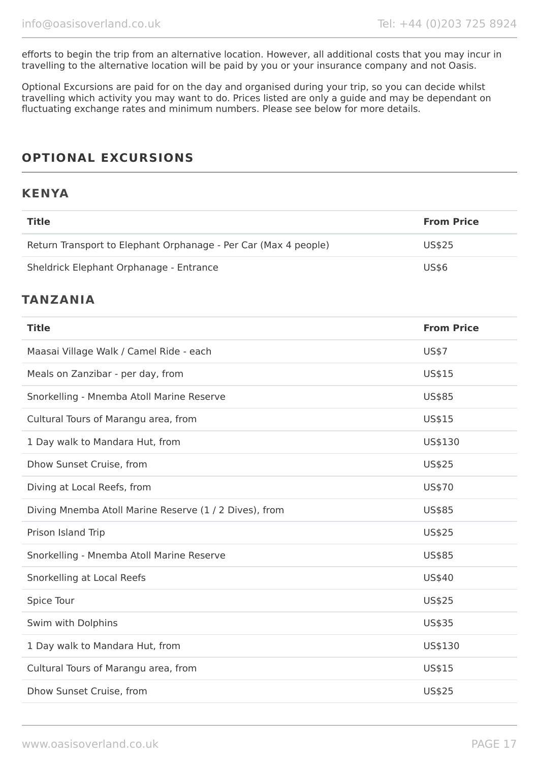efforts to begin the trip from an alternative location. However, all additional costs that you may incur in travelling to the alternative location will be paid by you or your insurance company and not Oasis.

Optional Excursions are paid for on the day and organised during your trip, so you can decide whilst travelling which activity you may want to do. Prices listed are only a guide and may be dependant on fluctuating exchange rates and minimum numbers. Please see below for more details.

# **OPTIONAL EXCURSIONS**

## **KENYA**

| <b>Title</b>                                                    | <b>From Price</b> |
|-----------------------------------------------------------------|-------------------|
| Return Transport to Elephant Orphanage - Per Car (Max 4 people) | US\$25            |
| Sheldrick Elephant Orphanage - Entrance                         | <b>US\$6</b>      |
| <b>TANZANIA</b>                                                 |                   |
| <b>Title</b>                                                    | <b>From Price</b> |
| Maasai Village Walk / Camel Ride - each                         | <b>US\$7</b>      |
| Meals on Zanzibar - per day, from                               | US\$15            |
| Snorkelling - Mnemba Atoll Marine Reserve                       | US\$85            |
| Cultural Tours of Marangu area, from                            | US\$15            |
| 1 Day walk to Mandara Hut, from                                 | US\$130           |
| Dhow Sunset Cruise, from                                        | US\$25            |
| Diving at Local Reefs, from                                     | US\$70            |
| Diving Mnemba Atoll Marine Reserve (1 / 2 Dives), from          | US\$85            |
| Prison Island Trip                                              | US\$25            |
| Snorkelling - Mnemba Atoll Marine Reserve                       | US\$85            |
| Snorkelling at Local Reefs                                      | US\$40            |
| Spice Tour                                                      | US\$25            |
| Swim with Dolphins                                              | US\$35            |
| 1 Day walk to Mandara Hut, from                                 | US\$130           |
| Cultural Tours of Marangu area, from                            | US\$15            |
| Dhow Sunset Cruise, from                                        | US\$25            |